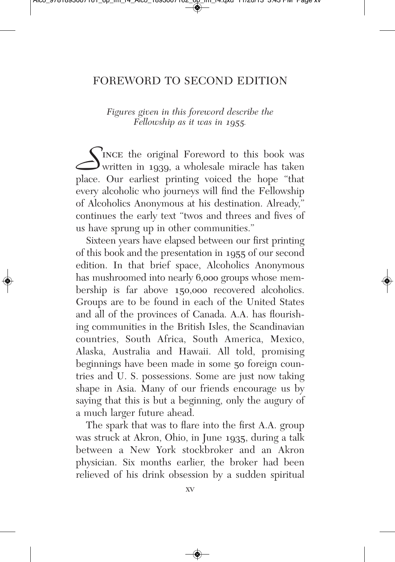## FOREWORD TO SECOND EDITION

*Figures given in this foreword describe the Fellowship as it was in 1955.*

**S**INCE the original Foreword to this book was<br>written in 1939, a wholesale miracle has taken<br>place. Our earliest printing voiced the hope "that written in 1939, a wholesale miracle has taken place. Our earliest printing voiced the hope "that every alcoholic who journeys will find the Fellowship of Alcoholics Anonymous at his destination. Already," continues the early text "twos and threes and fives of us have sprung up in other communities."

Sixteen years have elapsed between our first printing of this book and the presentation in 1955 of our second edition. In that brief space, Alcoholics Anonymous has mushroomed into nearly 6,000 groups whose membership is far above 150,000 recovered alcoholics. Groups are to be found in each of the United States and all of the provinces of Canada. A.A. has flourishing communities in the British Isles, the Scandinavian countries, South Africa, South America, Mexico, Alaska, Australia and Hawaii. All told, promising beginnings have been made in some 50 foreign countries and U. S. possessions. Some are just now taking shape in Asia. Many of our friends encourage us by saying that this is but a beginning, only the augury of a much larger future ahead.

The spark that was to flare into the first A.A. group was struck at Akron, Ohio, in June 1935, during a talk between a New York stockbroker and an Akron physician. Six months earlier, the broker had been relieved of his drink obsession by a sudden spiritual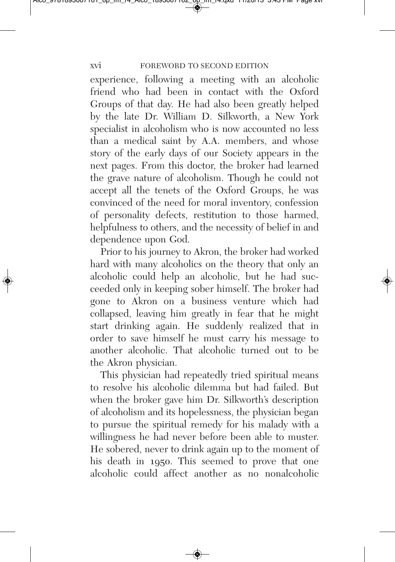experience, following a meeting with an alcoholic friend who had been in contact with the Oxford Groups of that day. He had also been greatly helped by the late Dr. William D. Silkworth, a New York specialist in alcoholism who is now accounted no less than a medical saint by A.A. members, and whose story of the early days of our Society appears in the next pages. From this doctor, the broker had learned the grave nature of alcoholism. Though he could not accept all the tenets of the Oxford Groups, he was convinced of the need for moral inventory, confession of personality defects, restitution to those harmed, helpfulness to others, and the necessity of belief in and dependence upon God.

Prior to his journey to Akron, the broker had worked hard with many alcoholics on the theory that only an alcoholic could help an alcoholic, but he had succeeded only in keeping sober himself. The broker had gone to Akron on a business venture which had collapsed, leaving him greatly in fear that he might start drinking again. He suddenly realized that in order to save himself he must carry his message to another alcoholic. That alcoholic turned out to be the Akron physician.

This physician had repeatedly tried spiritual means to resolve his alcoholic dilemma but had failed. But when the broker gave him Dr. Silkworth's description of alcoholism and its hopelessness, the physician began to pursue the spiritual remedy for his malady with a willingness he had never before been able to muster. He sobered, never to drink again up to the moment of his death in 1950. This seemed to prove that one alcoholic could affect another as no nonalcoholic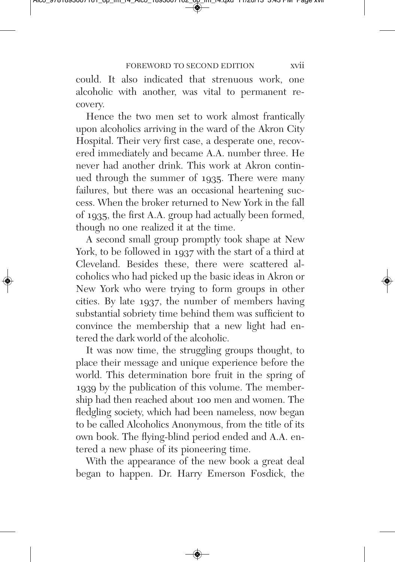could. It also indicated that strenuous work, one alcoholic with another, was vital to permanent recovery.

Hence the two men set to work almost frantically upon alcoholics arriving in the ward of the Akron City Hospital. Their very first case, a desperate one, recovered immediately and became A.A. number three. He never had another drink. This work at Akron continued through the summer of 1935. There were many failures, but there was an occasional heartening success. When the broker returned to New York in the fall of 1935, the first A.A. group had actually been formed, though no one realized it at the time.

A second small group promptly took shape at New York, to be followed in 1937 with the start of a third at Cleveland. Besides these, there were scattered alcoholics who had picked up the basic ideas in Akron or New York who were trying to form groups in other cities. By late 1937, the number of members having substantial sobriety time behind them was sufficient to convince the membership that a new light had entered the dark world of the alcoholic.

It was now time, the struggling groups thought, to place their message and unique experience before the world. This determination bore fruit in the spring of 1939 by the publication of this volume. The membership had then reached about 100 men and women. The fledgling society, which had been nameless, now began to be called Alcoholics Anonymous, from the title of its own book. The flying-blind period ended and A.A. entered a new phase of its pioneering time.

With the appearance of the new book a great deal began to happen. Dr. Harry Emerson Fosdick, the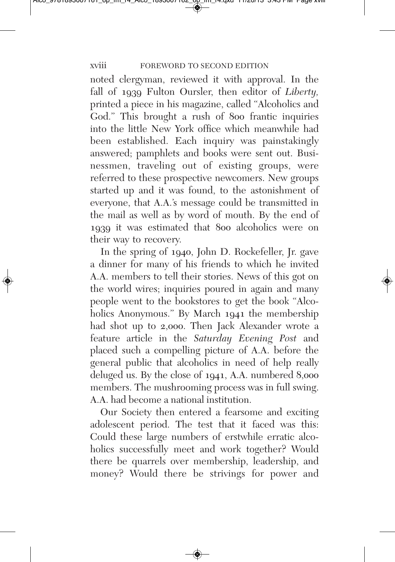noted clergyman, reviewed it with approval. In the fall of 1939 Fulton Oursler, then editor of *Liberty,* printed a piece in his magazine, called "Alcoholics and God." This brought a rush of 800 frantic inquiries into the little New York office which meanwhile had been established. Each inquiry was painstakingly answered; pamphlets and books were sent out. Businessmen, traveling out of existing groups, were referred to these prospective newcomers. New groups started up and it was found, to the astonishment of everyone, that A.A.'s message could be transmitted in the mail as well as by word of mouth. By the end of 1939 it was estimated that 800 alcoholics were on their way to recovery.

In the spring of 1940, John D. Rockefeller, Jr. gave a dinner for many of his friends to which he invited A.A. members to tell their stories. News of this got on the world wires; inquiries poured in again and many people went to the bookstores to get the book "Alcoholics Anonymous.'' By March 1941 the membership had shot up to 2,000. Then Jack Alexander wrote a feature article in the *Saturday Evening Post* and placed such a compelling picture of A.A. before the general public that alcoholics in need of help really deluged us. By the close of 1941, A.A. numbered 8,000 members. The mushrooming process was in full swing. A.A. had become a national institution.

Our Society then entered a fearsome and exciting adolescent period. The test that it faced was this: Could these large numbers of erstwhile erratic alcoholics successfully meet and work together? Would there be quarrels over membership, leadership, and money? Would there be strivings for power and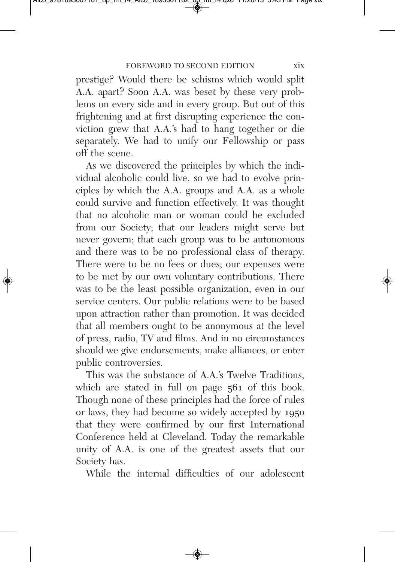prestige? Would there be schisms which would split A.A. apart? Soon A.A. was beset by these very problems on every side and in every group. But out of this frightening and at first disrupting experience the conviction grew that A.A.'s had to hang together or die separately. We had to unify our Fellowship or pass off the scene.

As we discovered the principles by which the individual alcoholic could live, so we had to evolve principles by which the A.A. groups and A.A. as a whole could survive and function effectively. It was thought that no alcoholic man or woman could be excluded from our Society; that our leaders might serve but never govern; that each group was to be autonomous and there was to be no professional class of therapy. There were to be no fees or dues; our expenses were to be met by our own voluntary contributions. There was to be the least possible organization, even in our service centers. Our public relations were to be based upon attraction rather than promotion. It was decided that all members ought to be anonymous at the level of press, radio, TV and films. And in no circumstances should we give endorsements, make alliances, or enter public controversies.

This was the substance of A.A.'s Twelve Traditions, which are stated in full on page 561 of this book. Though none of these principles had the force of rules or laws, they had become so widely accepted by 1950 that they were confirmed by our first International Conference held at Cleveland. Today the remarkable unity of A.A. is one of the greatest assets that our Society has.

While the internal difficulties of our adolescent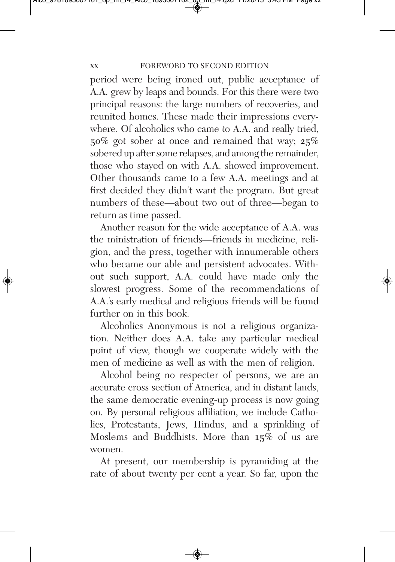period were being ironed out, public acceptance of A.A. grew by leaps and bounds. For this there were two principal reasons: the large numbers of recoveries, and reunited homes. These made their impressions everywhere. Of alcoholics who came to A.A. and really tried, 50% got sober at once and remained that way; 25% sobered up after some relapses, and among the remainder, those who stayed on with A.A. showed improvement. Other thousands came to a few A.A. meetings and at first decided they didn't want the program. But great numbers of these—about two out of three—began to return as time passed.

Another reason for the wide acceptance of A.A. was the ministration of friends—friends in medicine, religion, and the press, together with innumerable others who became our able and persistent advocates. Without such support, A.A. could have made only the slowest progress. Some of the recommendations of A.A.'s early medical and religious friends will be found further on in this book.

Alcoholics Anonymous is not a religious organization. Neither does A.A. take any particular medical point of view, though we cooperate widely with the men of medicine as well as with the men of religion.

Alcohol being no respecter of persons, we are an accurate cross section of America, and in distant lands, the same democratic evening-up process is now going on. By personal religious affiliation, we include Catholics, Protestants, Jews, Hindus, and a sprinkling of Moslems and Buddhists. More than 15% of us are women.

At present, our membership is pyramiding at the rate of about twenty per cent a year. So far, upon the